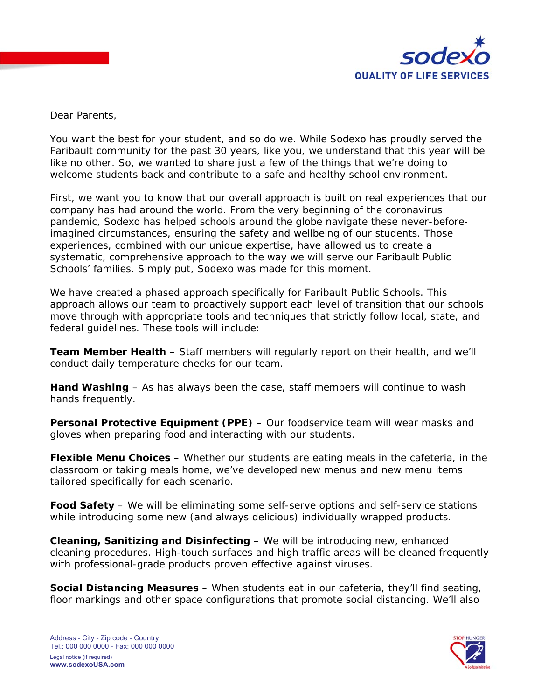

Dear Parents,

You want the best for your student, and so do we. While Sodexo has proudly served the Faribault community for the past 30 years, like you, we understand that this year will be like no other. So, we wanted to share just a few of the things that we're doing to welcome students back and contribute to a safe and healthy school environment.

First, we want you to know that our overall approach is built on real experiences that our company has had around the world. From the very beginning of the coronavirus pandemic, Sodexo has helped schools around the globe navigate these never-beforeimagined circumstances, ensuring the safety and wellbeing of our students. Those experiences, combined with our unique expertise, have allowed us to create a systematic, comprehensive approach to the way we will serve our Faribault Public Schools' families. Simply put, Sodexo was made for this moment.

We have created a phased approach specifically for Faribault Public Schools. This approach allows our team to proactively support each level of transition that our schools move through with appropriate tools and techniques that strictly follow local, state, and federal guidelines. These tools will include:

**Team Member Health** – Staff members will regularly report on their health, and we'll conduct daily temperature checks for our team.

**Hand Washing** – As has always been the case, staff members will continue to wash hands frequently.

**Personal Protective Equipment (PPE)** – Our foodservice team will wear masks and gloves when preparing food and interacting with our students.

**Flexible Menu Choices** – Whether our students are eating meals in the cafeteria, in the classroom or taking meals home, we've developed new menus and new menu items tailored specifically for each scenario.

**Food Safety** – We will be eliminating some self-serve options and self-service stations while introducing some new (and always delicious) individually wrapped products.

**Cleaning, Sanitizing and Disinfecting** – We will be introducing new, enhanced cleaning procedures. High-touch surfaces and high traffic areas will be cleaned frequently with professional-grade products proven effective against viruses.

**Social Distancing Measures** – When students eat in our cafeteria, they'll find seating, floor markings and other space configurations that promote social distancing. We'll also